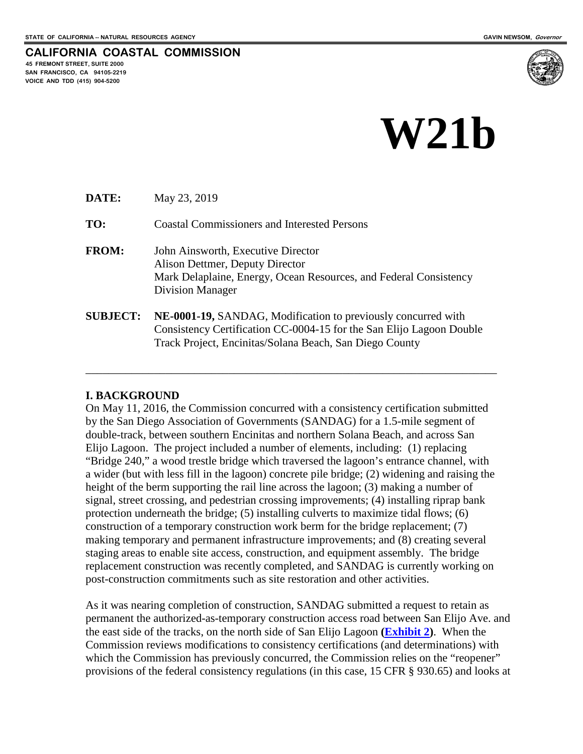**45 FREMONT STREET, SUITE 2000 SAN FRANCISCO, CA 94105-2219 VOICE AND TDD (415) 904-5200**

**CALIFORNIA COASTAL COMMISSION**

# **W21b**

**DATE:** May 23, 2019

**TO:** Coastal Commissioners and Interested Persons

- **FROM:** John Ainsworth, Executive Director Alison Dettmer, Deputy Director Mark Delaplaine, Energy, Ocean Resources, and Federal Consistency Division Manager
- **SUBJECT: NE-0001-19,** SANDAG, Modification to previously concurred with Consistency Certification CC-0004-15 for the San Elijo Lagoon Double Track Project, Encinitas/Solana Beach, San Diego County

\_\_\_\_\_\_\_\_\_\_\_\_\_\_\_\_\_\_\_\_\_\_\_\_\_\_\_\_\_\_\_\_\_\_\_\_\_\_\_\_\_\_\_\_\_\_\_\_\_\_\_\_\_\_\_\_\_\_\_\_\_\_\_\_\_\_\_\_\_\_\_\_

#### **I. BACKGROUND**

On May 11, 2016, the Commission concurred with a consistency certification submitted by the San Diego Association of Governments (SANDAG) for a 1.5-mile segment of double-track, between southern Encinitas and northern Solana Beach, and across San Elijo Lagoon. The project included a number of elements, including: (1) replacing "Bridge 240," a wood trestle bridge which traversed the lagoon's entrance channel, with a wider (but with less fill in the lagoon) concrete pile bridge; (2) widening and raising the height of the berm supporting the rail line across the lagoon; (3) making a number of signal, street crossing, and pedestrian crossing improvements; (4) installing riprap bank protection underneath the bridge; (5) installing culverts to maximize tidal flows; (6) construction of a temporary construction work berm for the bridge replacement; (7) making temporary and permanent infrastructure improvements; and (8) creating several staging areas to enable site access, construction, and equipment assembly. The bridge replacement construction was recently completed, and SANDAG is currently working on post-construction commitments such as site restoration and other activities.

As it was nearing completion of construction, SANDAG submitted a request to retain as permanent the authorized-as-temporary construction access road between San Elijo Ave. and the east side of the tracks, on the north side of San Elijo Lagoon **[\(Exhibit 2\)](https://documents.coastal.ca.gov/reports/2019/6/w21b/w21b-6-2019-exhibits.pdf)**. When the Commission reviews modifications to consistency certifications (and determinations) with which the Commission has previously concurred, the Commission relies on the "reopener" provisions of the federal consistency regulations (in this case, 15 CFR § 930.65) and looks at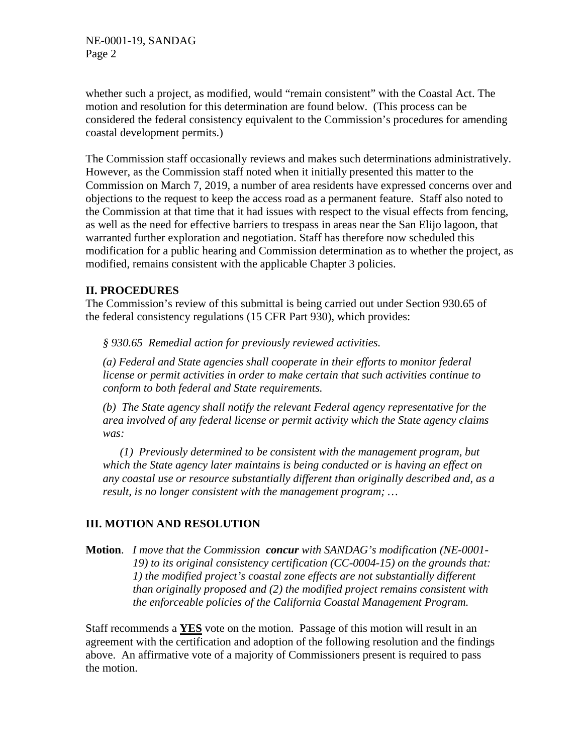whether such a project, as modified, would "remain consistent" with the Coastal Act. The motion and resolution for this determination are found below. (This process can be considered the federal consistency equivalent to the Commission's procedures for amending coastal development permits.)

The Commission staff occasionally reviews and makes such determinations administratively. However, as the Commission staff noted when it initially presented this matter to the Commission on March 7, 2019, a number of area residents have expressed concerns over and objections to the request to keep the access road as a permanent feature. Staff also noted to the Commission at that time that it had issues with respect to the visual effects from fencing, as well as the need for effective barriers to trespass in areas near the San Elijo lagoon, that warranted further exploration and negotiation. Staff has therefore now scheduled this modification for a public hearing and Commission determination as to whether the project, as modified, remains consistent with the applicable Chapter 3 policies.

# **II. PROCEDURES**

The Commission's review of this submittal is being carried out under Section 930.65 of the federal consistency regulations (15 CFR Part 930), which provides:

*§ 930.65 Remedial action for previously reviewed activities.* 

*(a) Federal and State agencies shall cooperate in their efforts to monitor federal license or permit activities in order to make certain that such activities continue to conform to both federal and State requirements.* 

*(b) The State agency shall notify the relevant Federal agency representative for the area involved of any federal license or permit activity which the State agency claims was:* 

*(1) Previously determined to be consistent with the management program, but which the State agency later maintains is being conducted or is having an effect on any coastal use or resource substantially different than originally described and, as a result, is no longer consistent with the management program; …* 

# **III. MOTION AND RESOLUTION**

**Motion**. *I move that the Commission concur with SANDAG's modification (NE-0001- 19) to its original consistency certification (CC-0004-15) on the grounds that: 1) the modified project's coastal zone effects are not substantially different than originally proposed and (2) the modified project remains consistent with the enforceable policies of the California Coastal Management Program.* 

Staff recommends a **YES** vote on the motion. Passage of this motion will result in an agreement with the certification and adoption of the following resolution and the findings above. An affirmative vote of a majority of Commissioners present is required to pass the motion.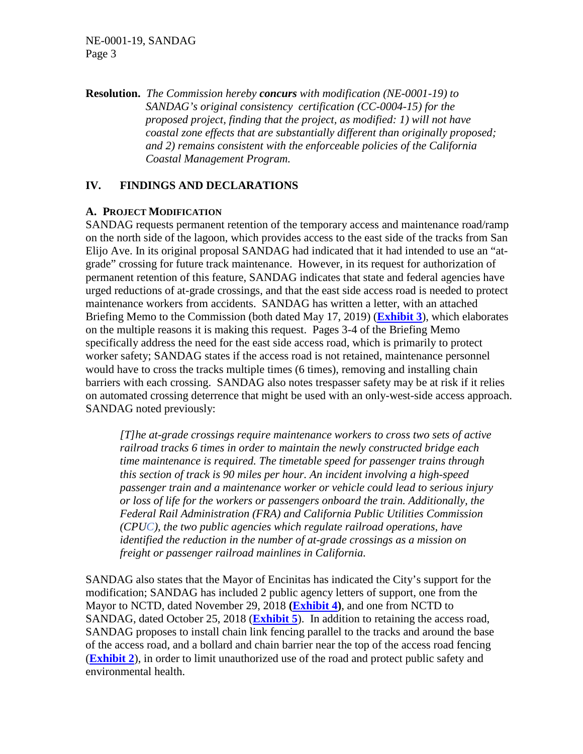#### NE-0001-19, SANDAG Page 3

**Resolution.** *The Commission hereby concurs with modification (NE-0001-19) to SANDAG's original consistency certification (CC-0004-15) for the proposed project, finding that the project, as modified: 1) will not have coastal zone effects that are substantially different than originally proposed; and 2) remains consistent with the enforceable policies of the California Coastal Management Program.* 

# **IV. FINDINGS AND DECLARATIONS**

#### **A. PROJECT MODIFICATION**

SANDAG requests permanent retention of the temporary access and maintenance road/ramp on the north side of the lagoon, which provides access to the east side of the tracks from San Elijo Ave. In its original proposal SANDAG had indicated that it had intended to use an "atgrade" crossing for future track maintenance. However, in its request for authorization of permanent retention of this feature, SANDAG indicates that state and federal agencies have urged reductions of at-grade crossings, and that the east side access road is needed to protect maintenance workers from accidents. SANDAG has written a letter, with an attached Briefing Memo to the Commission (both dated May 17, 2019) (**[Exhibit 3](https://documents.coastal.ca.gov/reports/2019/6/w21b/w21b-6-2019-exhibits.pdf)**), which elaborates on the multiple reasons it is making this request. Pages 3-4 of the Briefing Memo specifically address the need for the east side access road, which is primarily to protect worker safety; SANDAG states if the access road is not retained, maintenance personnel would have to cross the tracks multiple times (6 times), removing and installing chain barriers with each crossing. SANDAG also notes trespasser safety may be at risk if it relies on automated crossing deterrence that might be used with an only-west-side access approach. SANDAG noted previously:

*[T]he at-grade crossings require maintenance workers to cross two sets of active railroad tracks 6 times in order to maintain the newly constructed bridge each time maintenance is required. The timetable speed for passenger trains through this section of track is 90 miles per hour. An incident involving a high-speed passenger train and a maintenance worker or vehicle could lead to serious injury or loss of life for the workers or passengers onboard the train. Additionally, the Federal Rail Administration (FRA) and California Public Utilities Commission (CPUC), the two public agencies which regulate railroad operations, have identified the reduction in the number of at-grade crossings as a mission on freight or passenger railroad mainlines in California.* 

SANDAG also states that the Mayor of Encinitas has indicated the City's support for the modification; SANDAG has included 2 public agency letters of support, one from the Mayor to NCTD, dated November 29, 2018 **[\(Exhibit 4\)](https://documents.coastal.ca.gov/reports/2019/6/w21b/w21b-6-2019-exhibits.pdf)**, and one from NCTD to SANDAG, dated October 25, 2018 (**[Exhibit 5](https://documents.coastal.ca.gov/reports/2019/6/w21b/w21b-6-2019-exhibits.pdf)**). In addition to retaining the access road, SANDAG proposes to install chain link fencing parallel to the tracks and around the base of the access road, and a bollard and chain barrier near the top of the access road fencing (**[Exhibit 2](https://documents.coastal.ca.gov/reports/2019/6/w21b/w21b-6-2019-exhibits.pdf)**), in order to limit unauthorized use of the road and protect public safety and environmental health.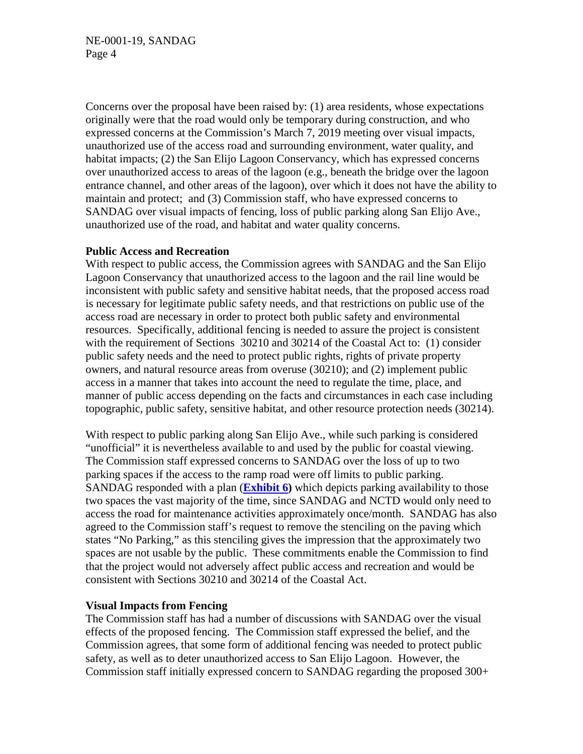Concerns over the proposal have been raised by: (1) area residents, whose expectations originally were that the road would only be temporary during construction, and who expressed concerns at the Commission's March 7, 2019 meeting over visual impacts, unauthorized use of the access road and surrounding environment, water quality, and habitat impacts; (2) the San Elijo Lagoon Conservancy, which has expressed concerns over unauthorized access to areas of the lagoon (e.g., beneath the bridge over the lagoon entrance channel, and other areas of the lagoon), over which it does not have the ability to maintain and protect; and (3) Commission staff, who have expressed concerns to SANDAG over visual impacts of fencing, loss of public parking along San Elijo Ave., unauthorized use of the road, and habitat and water quality concerns.

#### **Public Access and Recreation**

With respect to public access, the Commission agrees with SANDAG and the San Elijo Lagoon Conservancy that unauthorized access to the lagoon and the rail line would be inconsistent with public safety and sensitive habitat needs, that the proposed access road is necessary for legitimate public safety needs, and that restrictions on public use of the access road are necessary in order to protect both public safety and environmental resources. Specifically, additional fencing is needed to assure the project is consistent with the requirement of Sections 30210 and 30214 of the Coastal Act to: (1) consider public safety needs and the need to protect public rights, rights of private property owners, and natural resource areas from overuse (30210); and (2) implement public access in a manner that takes into account the need to regulate the time, place, and manner of public access depending on the facts and circumstances in each case including topographic, public safety, sensitive habitat, and other resource protection needs (30214).

With respect to public parking along San Elijo Ave., while such parking is considered "unofficial" it is nevertheless available to and used by the public for coastal viewing. The Commission staff expressed concerns to SANDAG over the loss of up to two parking spaces if the access to the ramp road were off limits to public parking. SANDAG responded with a plan (**[Exhibit 6\)](https://documents.coastal.ca.gov/reports/2019/6/w21b/w21b-6-2019-exhibits.pdf)** which depicts parking availability to those two spaces the vast majority of the time, since SANDAG and NCTD would only need to access the road for maintenance activities approximately once/month. SANDAG has also agreed to the Commission staff's request to remove the stenciling on the paving which states "No Parking," as this stenciling gives the impression that the approximately two spaces are not usable by the public. These commitments enable the Commission to find that the project would not adversely affect public access and recreation and would be consistent with Sections 30210 and 30214 of the Coastal Act.

#### **Visual Impacts from Fencing**

The Commission staff has had a number of discussions with SANDAG over the visual effects of the proposed fencing. The Commission staff expressed the belief, and the Commission agrees, that some form of additional fencing was needed to protect public safety, as well as to deter unauthorized access to San Elijo Lagoon. However, the Commission staff initially expressed concern to SANDAG regarding the proposed 300+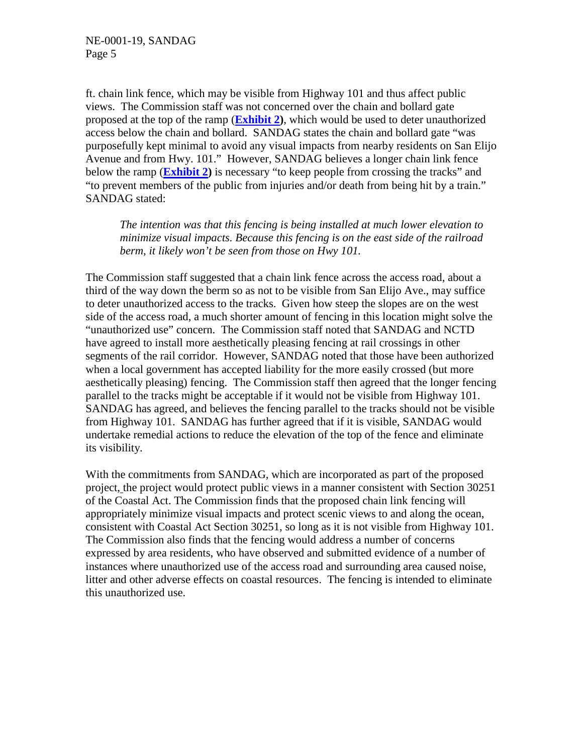ft. chain link fence, which may be visible from Highway 101 and thus affect public views. The Commission staff was not concerned over the chain and bollard gate proposed at the top of the ramp (**[Exhibit 2\)](https://documents.coastal.ca.gov/reports/2019/6/w21b/w21b-6-2019-exhibits.pdf)**, which would be used to deter unauthorized access below the chain and bollard. SANDAG states the chain and bollard gate "was purposefully kept minimal to avoid any visual impacts from nearby residents on San Elijo Avenue and from Hwy. 101." However, SANDAG believes a longer chain link fence below the ramp (**[Exhibit 2\)](https://documents.coastal.ca.gov/reports/2019/6/w21b/w21b-6-2019-exhibits.pdf)** is necessary "to keep people from crossing the tracks" and "to prevent members of the public from injuries and/or death from being hit by a train." SANDAG stated:

*The intention was that this fencing is being installed at much lower elevation to minimize visual impacts. Because this fencing is on the east side of the railroad berm, it likely won't be seen from those on Hwy 101.* 

The Commission staff suggested that a chain link fence across the access road, about a third of the way down the berm so as not to be visible from San Elijo Ave., may suffice to deter unauthorized access to the tracks. Given how steep the slopes are on the west side of the access road, a much shorter amount of fencing in this location might solve the "unauthorized use" concern. The Commission staff noted that SANDAG and NCTD have agreed to install more aesthetically pleasing fencing at rail crossings in other segments of the rail corridor. However, SANDAG noted that those have been authorized when a local government has accepted liability for the more easily crossed (but more aesthetically pleasing) fencing. The Commission staff then agreed that the longer fencing parallel to the tracks might be acceptable if it would not be visible from Highway 101. SANDAG has agreed, and believes the fencing parallel to the tracks should not be visible from Highway 101. SANDAG has further agreed that if it is visible, SANDAG would undertake remedial actions to reduce the elevation of the top of the fence and eliminate its visibility.

With the commitments from SANDAG, which are incorporated as part of the proposed project, the project would protect public views in a manner consistent with Section 30251 of the Coastal Act. The Commission finds that the proposed chain link fencing will appropriately minimize visual impacts and protect scenic views to and along the ocean, consistent with Coastal Act Section 30251, so long as it is not visible from Highway 101. The Commission also finds that the fencing would address a number of concerns expressed by area residents, who have observed and submitted evidence of a number of instances where unauthorized use of the access road and surrounding area caused noise, litter and other adverse effects on coastal resources. The fencing is intended to eliminate this unauthorized use.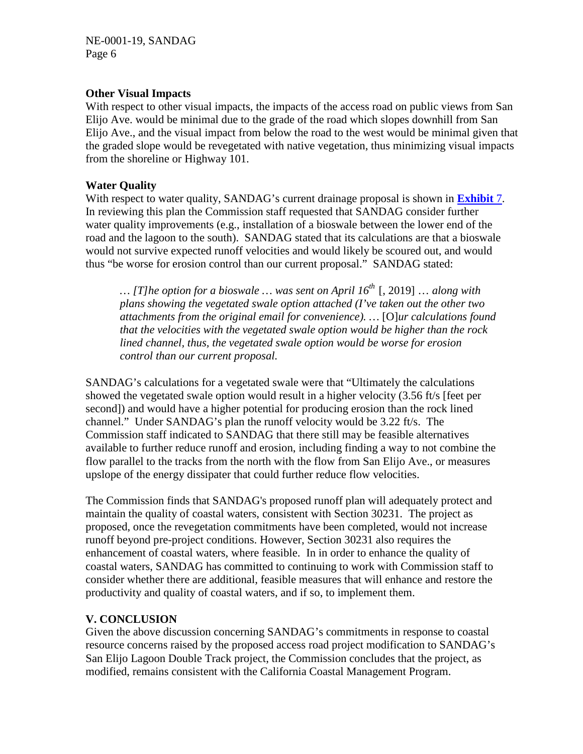### **Other Visual Impacts**

With respect to other visual impacts, the impacts of the access road on public views from San Elijo Ave. would be minimal due to the grade of the road which slopes downhill from San Elijo Ave., and the visual impact from below the road to the west would be minimal given that the graded slope would be revegetated with native vegetation, thus minimizing visual impacts from the shoreline or Highway 101.

### **Water Quality**

With respect to water quality, SANDAG's current drainage proposal is shown in **[Exhibit](https://documents.coastal.ca.gov/reports/2019/6/w21b/w21b-6-2019-exhibits.pdf)** 7. In reviewing this plan the Commission staff requested that SANDAG consider further water quality improvements (e.g., installation of a bioswale between the lower end of the road and the lagoon to the south). SANDAG stated that its calculations are that a bioswale would not survive expected runoff velocities and would likely be scoured out, and would thus "be worse for erosion control than our current proposal." SANDAG stated:

*… [T]he option for a bioswale … was sent on April 16th* [, 2019] … *along with plans showing the vegetated swale option attached (I've taken out the other two attachments from the original email for convenience). …* [O]*ur calculations found that the velocities with the vegetated swale option would be higher than the rock lined channel, thus, the vegetated swale option would be worse for erosion control than our current proposal.* 

SANDAG's calculations for a vegetated swale were that "Ultimately the calculations showed the vegetated swale option would result in a higher velocity (3.56 ft/s [feet per second]) and would have a higher potential for producing erosion than the rock lined channel." Under SANDAG's plan the runoff velocity would be 3.22 ft/s. The Commission staff indicated to SANDAG that there still may be feasible alternatives available to further reduce runoff and erosion, including finding a way to not combine the flow parallel to the tracks from the north with the flow from San Elijo Ave., or measures upslope of the energy dissipater that could further reduce flow velocities.

The Commission finds that SANDAG's proposed runoff plan will adequately protect and maintain the quality of coastal waters, consistent with Section 30231. The project as proposed, once the revegetation commitments have been completed, would not increase runoff beyond pre-project conditions. However, Section 30231 also requires the enhancement of coastal waters, where feasible. In in order to enhance the quality of coastal waters, SANDAG has committed to continuing to work with Commission staff to consider whether there are additional, feasible measures that will enhance and restore the productivity and quality of coastal waters, and if so, to implement them.

# **V. CONCLUSION**

Given the above discussion concerning SANDAG's commitments in response to coastal resource concerns raised by the proposed access road project modification to SANDAG's San Elijo Lagoon Double Track project, the Commission concludes that the project, as modified, remains consistent with the California Coastal Management Program.